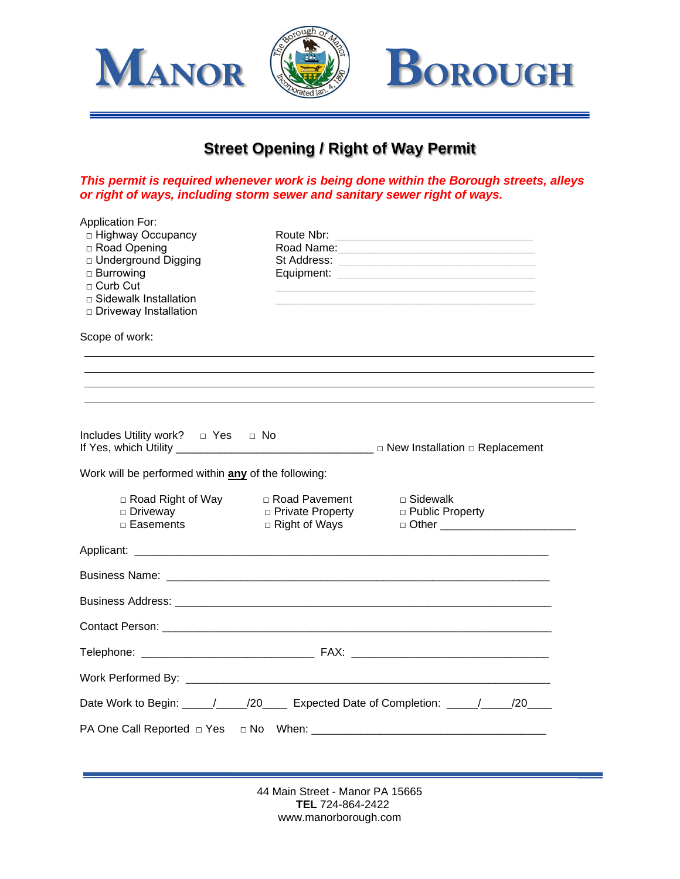

## **Street Opening / Right of Way Permit**

*This permit is required whenever work is being done within the Borough streets, alleys or right of ways, including storm sewer and sanitary sewer right of ways.*

| <b>Application For:</b><br>□ Highway Occupancy<br>□ Road Opening<br>□ Underground Digging<br>$\Box$ Burrowing<br>$\Box$ Curb Cut<br>$\Box$ Sidewalk Installation<br>□ Driveway Installation | Route Nbr:<br>Equipment:                                 | Road Name: Name: Name and Name and Name and Name and Name and Name and Name and Name and Name and Name and Name and Name and Name and Name and Name and Name and Name and Name and Name and Name and Name and Name and Name an<br>St Address: <b>Market Burnett and St Address:</b> |
|---------------------------------------------------------------------------------------------------------------------------------------------------------------------------------------------|----------------------------------------------------------|-------------------------------------------------------------------------------------------------------------------------------------------------------------------------------------------------------------------------------------------------------------------------------------|
| Scope of work:                                                                                                                                                                              |                                                          |                                                                                                                                                                                                                                                                                     |
|                                                                                                                                                                                             |                                                          |                                                                                                                                                                                                                                                                                     |
|                                                                                                                                                                                             |                                                          |                                                                                                                                                                                                                                                                                     |
| Work will be performed within any of the following:                                                                                                                                         |                                                          |                                                                                                                                                                                                                                                                                     |
| □ Road Right of Way<br>$\Box$ Driveway<br>$\Box$ Easements                                                                                                                                  | □ Road Pavement<br>□ Private Property<br>□ Right of Ways | □ Sidewalk<br>□ Public Property                                                                                                                                                                                                                                                     |
|                                                                                                                                                                                             |                                                          |                                                                                                                                                                                                                                                                                     |
|                                                                                                                                                                                             |                                                          |                                                                                                                                                                                                                                                                                     |
|                                                                                                                                                                                             |                                                          |                                                                                                                                                                                                                                                                                     |
|                                                                                                                                                                                             |                                                          |                                                                                                                                                                                                                                                                                     |
|                                                                                                                                                                                             |                                                          |                                                                                                                                                                                                                                                                                     |
|                                                                                                                                                                                             |                                                          |                                                                                                                                                                                                                                                                                     |
|                                                                                                                                                                                             |                                                          | Date Work to Begin: ____/____/20____ Expected Date of Completion: ____/___/20___                                                                                                                                                                                                    |
|                                                                                                                                                                                             |                                                          |                                                                                                                                                                                                                                                                                     |
|                                                                                                                                                                                             |                                                          |                                                                                                                                                                                                                                                                                     |

 44 Main Street - Manor PA 15665 **TEL** 724-864-2422 www.manorborough.com